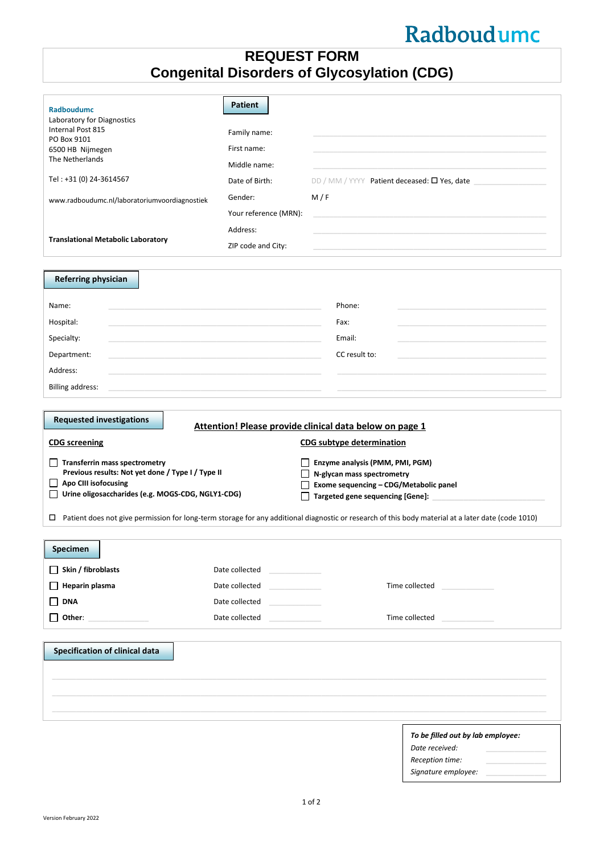# Radboudumc

# **REQUEST FORM Congenital Disorders of Glycosylation (CDG)**

| <b>Radboudumc</b><br>Laboratory for Diagnostics<br>Internal Post 815<br>PO Box 9101<br>6500 HB Nijmegen<br>The Netherlands<br>Tel: +31 (0) 24-3614567<br>www.radboudumc.nl/laboratoriumvoordiagnostiek                                                                                                                                                                 | <b>Patient</b><br>Family name:<br>First name:<br>Middle name:<br>Date of Birth:<br>Gender:<br>Your reference (MRN): | M/F                                                                                                                            | DD / MM / YYYY Patient deceased: $\square$ Yes, date                                    |
|------------------------------------------------------------------------------------------------------------------------------------------------------------------------------------------------------------------------------------------------------------------------------------------------------------------------------------------------------------------------|---------------------------------------------------------------------------------------------------------------------|--------------------------------------------------------------------------------------------------------------------------------|-----------------------------------------------------------------------------------------|
| <b>Translational Metabolic Laboratory</b>                                                                                                                                                                                                                                                                                                                              | Address:<br>ZIP code and City:                                                                                      |                                                                                                                                |                                                                                         |
| <b>Referring physician</b>                                                                                                                                                                                                                                                                                                                                             |                                                                                                                     |                                                                                                                                |                                                                                         |
| Name:<br>Hospital:<br>Specialty:<br>Department:<br>Address:<br><b>Billing address:</b>                                                                                                                                                                                                                                                                                 |                                                                                                                     | Phone:<br>Fax:<br>Email:<br>CC result to:                                                                                      |                                                                                         |
|                                                                                                                                                                                                                                                                                                                                                                        |                                                                                                                     |                                                                                                                                |                                                                                         |
| <b>Requested investigations</b><br>Attention! Please provide clinical data below on page 1                                                                                                                                                                                                                                                                             |                                                                                                                     |                                                                                                                                |                                                                                         |
|                                                                                                                                                                                                                                                                                                                                                                        |                                                                                                                     |                                                                                                                                |                                                                                         |
| <b>CDG</b> screening<br>$\Box$ Transferrin mass spectrometry<br>Previous results: Not yet done / Type I / Type II<br>Apo CIII isofocusing<br>Urine oligosaccharides (e.g. MOGS-CDG, NGLY1-CDG)<br>$\mathsf{L}$<br>□ Patient does not give permission for long-term storage for any additional diagnostic or research of this body material at a later date (code 1010) |                                                                                                                     | CDG subtype determination<br>Enzyme analysis (PMM, PMI, PGM)<br>N-glycan mass spectrometry<br>Targeted gene sequencing [Gene]: | Exome sequencing - CDG/Metabolic panel                                                  |
|                                                                                                                                                                                                                                                                                                                                                                        |                                                                                                                     |                                                                                                                                |                                                                                         |
| <b>Specimen</b><br>$\Box$ Skin / fibroblasts<br>Heparin plasma<br><b>DNA</b><br>$\Box$ Other: ________________                                                                                                                                                                                                                                                         | Date collected<br>Date collected<br>Date collected<br>Date collected                                                |                                                                                                                                | Time collected and the collected<br>Time collected<br><b>Contract Contract Contract</b> |
|                                                                                                                                                                                                                                                                                                                                                                        |                                                                                                                     |                                                                                                                                |                                                                                         |
| <b>Specification of clinical data</b>                                                                                                                                                                                                                                                                                                                                  |                                                                                                                     |                                                                                                                                |                                                                                         |